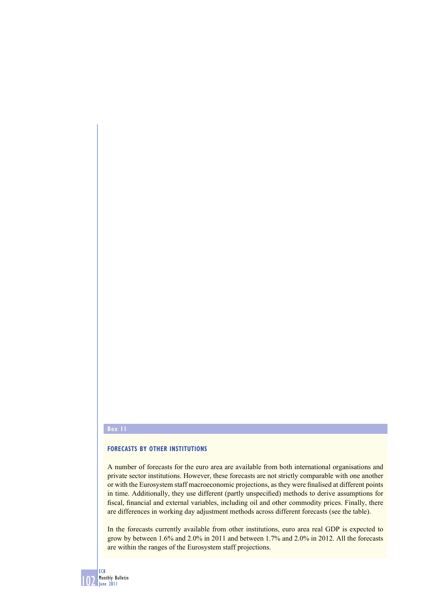## **Box 11**

## **FORECASTS BY OTHER INSTITUTIONS**

A number of forecasts for the euro area are available from both international organisations and private sector institutions. However, these forecasts are not strictly comparable with one another or with the Eurosystem staff macroeconomic projections, as they were finalised at different points in time. Additionally, they use different (partly unspecified) methods to derive assumptions for fiscal, financial and external variables, including oil and other commodity prices. Finally, there are differences in working day adjustment methods across different forecasts (see the table).

In the forecasts currently available from other institutions, euro area real GDP is expected to grow by between 1.6% and 2.0% in 2011 and between 1.7% and 2.0% in 2012. All the forecasts are within the ranges of the Eurosystem staff projections.